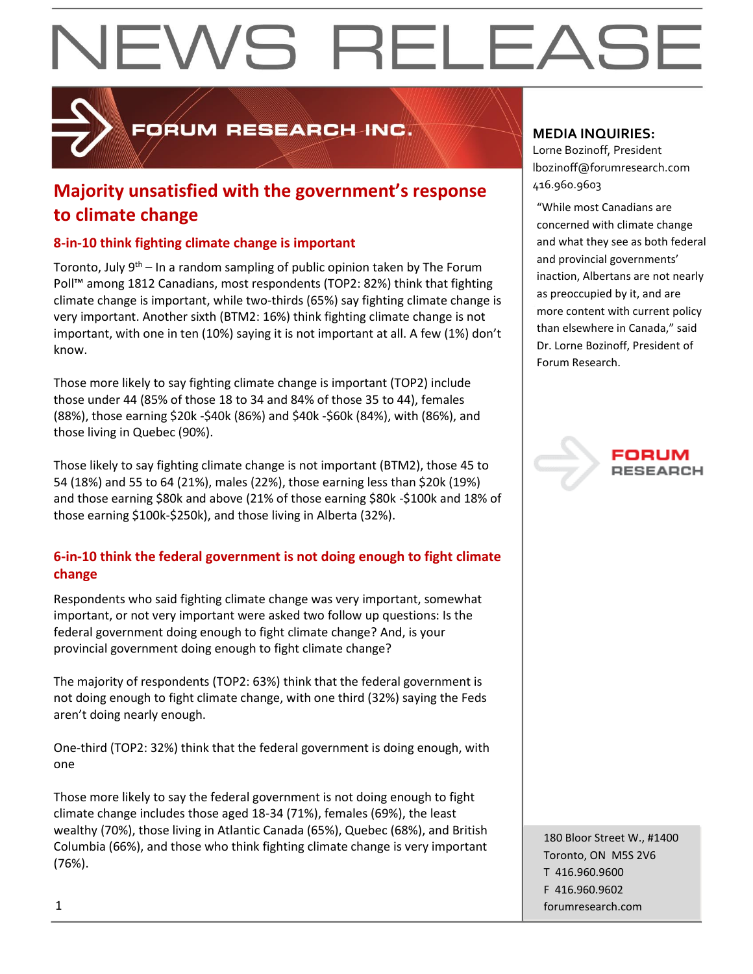

**PORUM RESEARCH INC.** 

### **Majority unsatisfied with the government's response**  $446.960.9603$ **to climate change**

#### **8-in-10 think fighting climate change is important**

Toronto, July 9<sup>th</sup> – In a random sampling of public opinion taken by The Forum Poll™ among 1812 Canadians, most respondents (TOP2: 82%) think that fighting climate change is important, while two-thirds (65%) say fighting climate change is very important. Another sixth (BTM2: 16%) think fighting climate change is not important, with one in ten (10%) saying it is not important at all. A few (1%) don't know.

Those more likely to say fighting climate change is important (TOP2) include those under 44 (85% of those 18 to 34 and 84% of those 35 to 44), females (88%), those earning \$20k -\$40k (86%) and \$40k -\$60k (84%), with (86%), and those living in Quebec (90%).

Those likely to say fighting climate change is not important (BTM2), those 45 to 54 (18%) and 55 to 64 (21%), males (22%), those earning less than \$20k (19%) and those earning \$80k and above (21% of those earning \$80k -\$100k and 18% of those earning \$100k-\$250k), and those living in Alberta (32%).

#### **6-in-10 think the federal government is not doing enough to fight climate change**

Respondents who said fighting climate change was very important, somewhat important, or not very important were asked two follow up questions: Is the federal government doing enough to fight climate change? And, is your provincial government doing enough to fight climate change?

The majority of respondents (TOP2: 63%) think that the federal government is not doing enough to fight climate change, with one third (32%) saying the Feds aren't doing nearly enough.

One-third (TOP2: 32%) think that the federal government is doing enough, with one

Those more likely to say the federal government is not doing enough to fight climate change includes those aged 18-34 (71%), females (69%), the least wealthy (70%), those living in Atlantic Canada (65%), Quebec (68%), and British Columbia (66%), and those who think fighting climate change is very important (76%).

#### **MEDIA INQUIRIES:**

Lorne Bozinoff, President lbozinoff@forumresearch.com

"While most Canadians are concerned with climate change and what they see as both federal and provincial governments' inaction, Albertans are not nearly as preoccupied by it, and are more content with current policy than elsewhere in Canada," said Dr. Lorne Bozinoff, President of Forum Research.



180 Bloor Street W., #1400 Toronto, ON M5S 2V6 T 416.960.9600 F 416.960.9602 1 forumresearch.com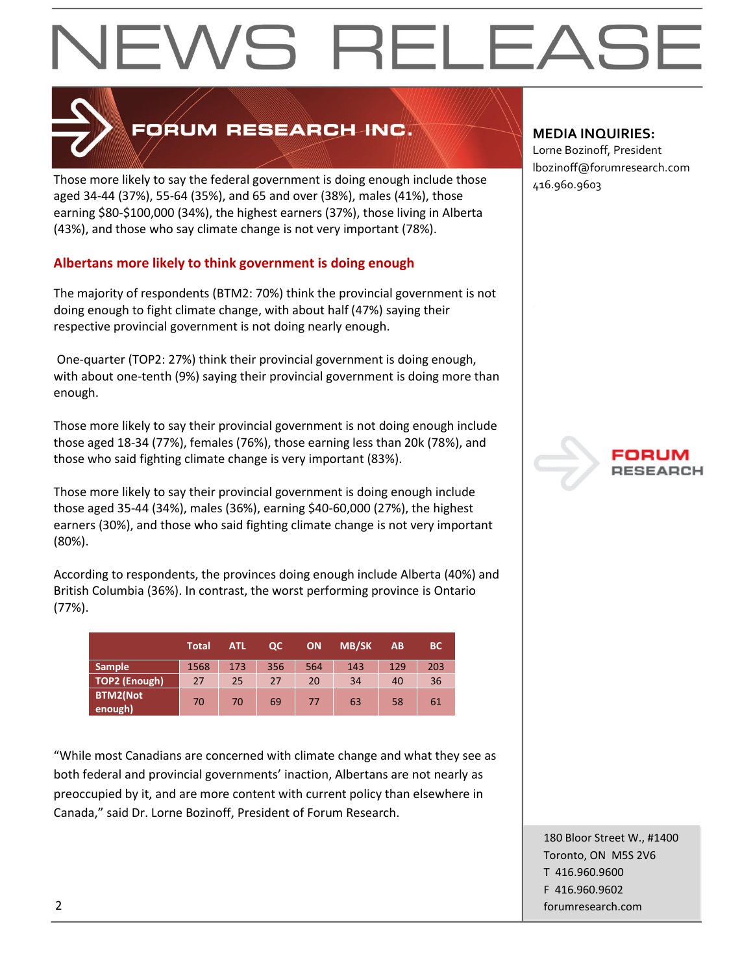

### FORUM RESEARCH INC.

Those more likely to say the federal government is doing enough include those  $\frac{1}{416.960.9603}$ aged 34-44 (37%), 55-64 (35%), and 65 and over (38%), males (41%), those earning \$80-\$100,000 (34%), the highest earners (37%), those living in Alberta (43%), and those who say climate change is not very important (78%).

#### **Albertans more likely to think government is doing enough**

The majority of respondents (BTM2: 70%) think the provincial government is not doing enough to fight climate change, with about half (47%) saying their respective provincial government is not doing nearly enough.

One-quarter (TOP2: 27%) think their provincial government is doing enough, with about one-tenth (9%) saying their provincial government is doing more than enough.

Those more likely to say their provincial government is not doing enough include those aged 18-34 (77%), females (76%), those earning less than 20k (78%), and those who said fighting climate change is very important (83%).

Those more likely to say their provincial government is doing enough include those aged 35-44 (34%), males (36%), earning \$40-60,000 (27%), the highest earners (30%), and those who said fighting climate change is not very important (80%).

According to respondents, the provinces doing enough include Alberta (40%) and British Columbia (36%). In contrast, the worst performing province is Ontario (77%).

|                            | <b>Total</b> | <b>ATL</b> | QС  | ON  | <b>MB/SK</b> | A <sub>B</sub> | <b>BC</b> |
|----------------------------|--------------|------------|-----|-----|--------------|----------------|-----------|
| <b>Sample</b>              | 1568         | 173        | 356 | 564 | 143          | 129            | 203       |
| TOP2 (Enough)              | 27           | 25         | 27  | 20  | 34           | 40             | 36        |
| <b>BTM2(Not</b><br>enough) | 70           | 70         | 69  | 77  | 63           | 58             | 61        |

"While most Canadians are concerned with climate change and what they see as both federal and provincial governments' inaction, Albertans are not nearly as preoccupied by it, and are more content with current policy than elsewhere in Canada," said Dr. Lorne Bozinoff, President of Forum Research.

#### **MEDIA INQUIRIES:**

Lorne Bozinoff, President lbozinoff@forumresearch.com



180 Bloor Street W., #1400 Toronto, ON M5S 2V6 T 416.960.9600 F 416.960.9602 2 forumresearch.com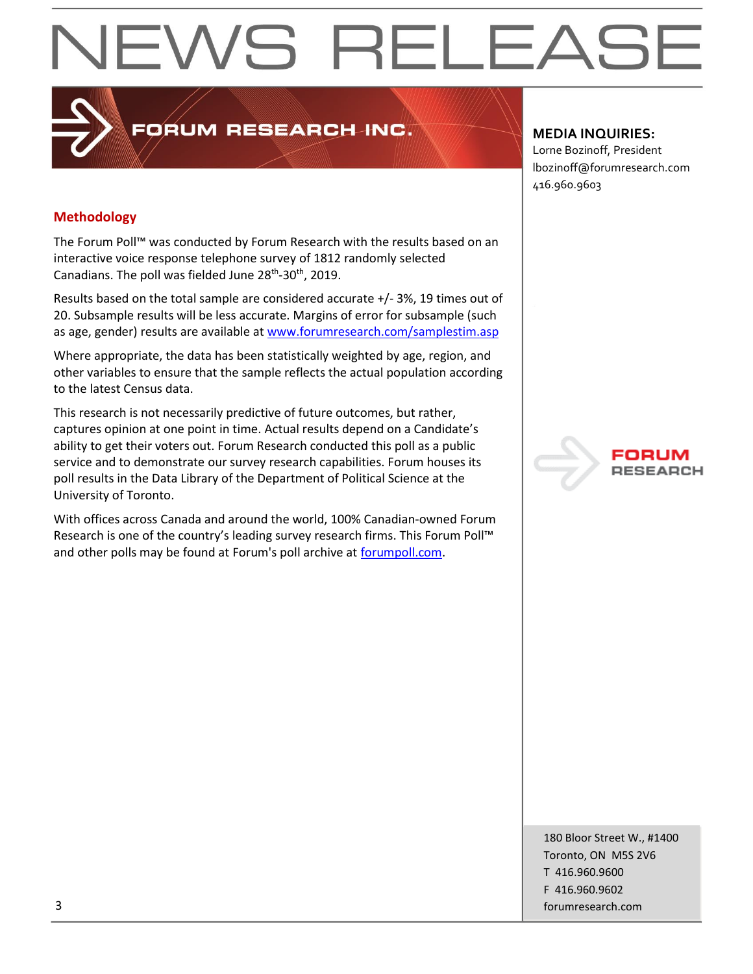### **PRUM RESEARCH INC.**

#### **MEDIA INQUIRIES:**

Lorne Bozinoff, President lbozinoff@forumresearch.com 416.960.9603

#### **Methodology**

The Forum Poll™ was conducted by Forum Research with the results based on an interactive voice response telephone survey of 1812 randomly selected Canadians. The poll was fielded June 28<sup>th</sup>-30<sup>th</sup>, 2019.

Results based on the total sample are considered accurate +/- 3%, 19 times out of 20. Subsample results will be less accurate. Margins of error for subsample (such as age, gender) results are available at [www.forumresearch.com/samplestim.asp](http://www.forumresearch.com/samplestim.asp)

Where appropriate, the data has been statistically weighted by age, region, and other variables to ensure that the sample reflects the actual population according to the latest Census data.

This research is not necessarily predictive of future outcomes, but rather, captures opinion at one point in time. Actual results depend on a Candidate's ability to get their voters out. Forum Research conducted this poll as a public service and to demonstrate our survey research capabilities. Forum houses its poll results in the Data Library of the Department of Political Science at the University of Toronto.

With offices across Canada and around the world, 100% Canadian-owned Forum Research is one of the country's leading survey research firms. This Forum Poll™ and other polls may be found at Forum's poll archive at [forumpoll.com.](file:///C:/Users/gmilakovic/Dropbox/Forum%20Poll%20Temporary/2017/November/TO/Releases/forumpoll.com)

180 Bloor Street W., #1400 Toronto, ON M5S 2V6 T 416.960.9600 F 416.960.9602 3 forumresearch.com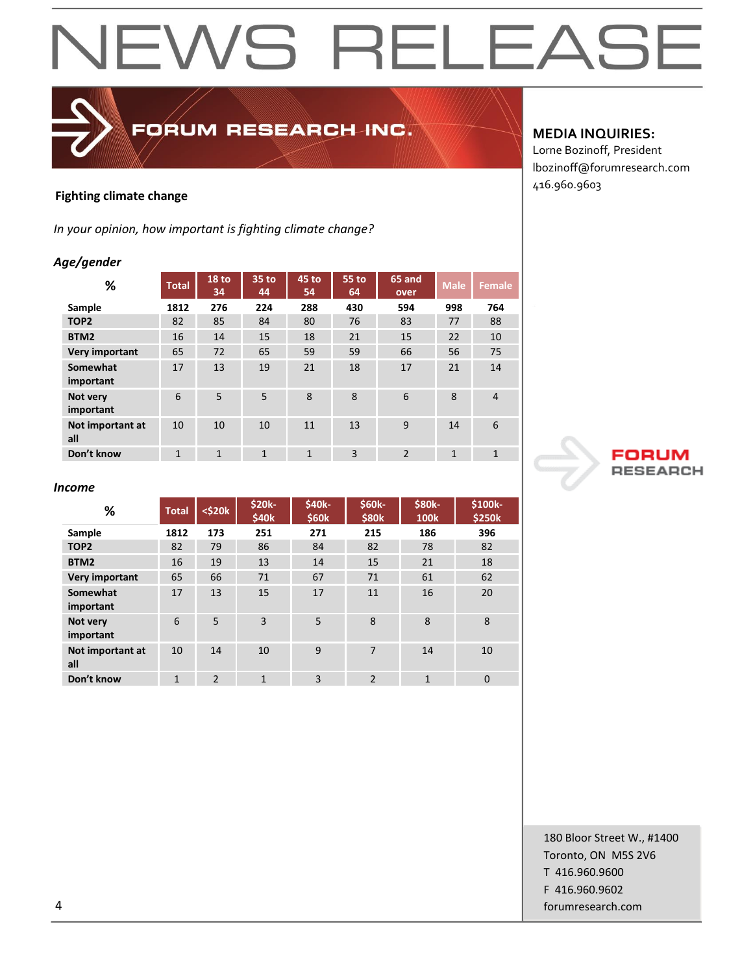### FORUM RESEARCH INC.

#### **Fighting climate change**

*In your opinion, how important is fighting climate change?*

#### *Age/gender*

| %                       | <b>Total</b> | 18 <sub>to</sub><br>34 | 35 to<br>44    | 45 to<br>54  | 55 to<br>64    | 65 and<br>over | <b>Male</b>  | <b>Female</b>  |
|-------------------------|--------------|------------------------|----------------|--------------|----------------|----------------|--------------|----------------|
| Sample                  | 1812         | 276                    | 224            | 288          | 430            | 594            | 998          | 764            |
| TOP <sub>2</sub>        | 82           | 85                     | 84             | 80           | 76             | 83             | 77           | 88             |
| BTM <sub>2</sub>        | 16           | 14                     | 15             | 18           | 21             | 15             | 22           | 10             |
| Very important          | 65           | 72                     | 65             | 59           | 59             | 66             | 56           | 75             |
| Somewhat<br>important   | 17           | 13                     | 19             | 21           | 18             | 17             | 21           | 14             |
| Not very<br>important   | 6            | 5                      | 5              | 8            | 8              | 6              | 8            | $\overline{4}$ |
| Not important at<br>all | 10           | 10                     | 10             | 11           | 13             | 9              | 14           | 6              |
| Don't know              | $\mathbf{1}$ | $\mathbf{1}$           | $\overline{1}$ | $\mathbf{1}$ | $\overline{3}$ | $\overline{2}$ | $\mathbf{1}$ | $\mathbf{1}$   |

#### **MEDIA INQUIRIES:**

Lorne Bozinoff, President lbozinoff@forumresearch.com 416.960.9603



#### *Income*

| %                       | <b>Total</b>   | $<$ \$20 $k$             | \$20k-<br>\$40 <sub>k</sub> | \$40k-<br><b>\$60k</b> | \$60k-<br>\$80 <sub>k</sub> | <b>\$80k-</b><br><b>100k</b> | \$100k-<br><b>\$250k</b> |
|-------------------------|----------------|--------------------------|-----------------------------|------------------------|-----------------------------|------------------------------|--------------------------|
| Sample                  | 1812           | 173                      | 251                         | 271                    | 215                         | 186                          | 396                      |
| TOP <sub>2</sub>        | 82             | 79                       | 86                          | 84                     | 82                          | 78                           | 82                       |
| BTM <sub>2</sub>        | 16             | 19                       | 13                          | 14                     | 15                          | 21                           | 18                       |
| Very important          | 65             | 66                       | 71                          | 67                     | 71                          | 61                           | 62                       |
| Somewhat<br>important   | 17             | 13                       | 15                          | 17                     | 11                          | 16                           | 20                       |
| Not very<br>important   | 6              | 5                        | 3                           | 5                      | 8                           | 8                            | 8                        |
| Not important at<br>all | 10             | 14                       | 10                          | 9                      | 7                           | 14                           | 10                       |
| Don't know              | $\overline{1}$ | $\overline{\phantom{0}}$ | $\mathbf{1}$                | 3                      | $\mathfrak{p}$              | $\overline{1}$               | $\mathbf 0$              |

180 Bloor Street W., #1400 Toronto, ON M5S 2V6 T 416.960.9600 F 416.960.9602 4 forumresearch.com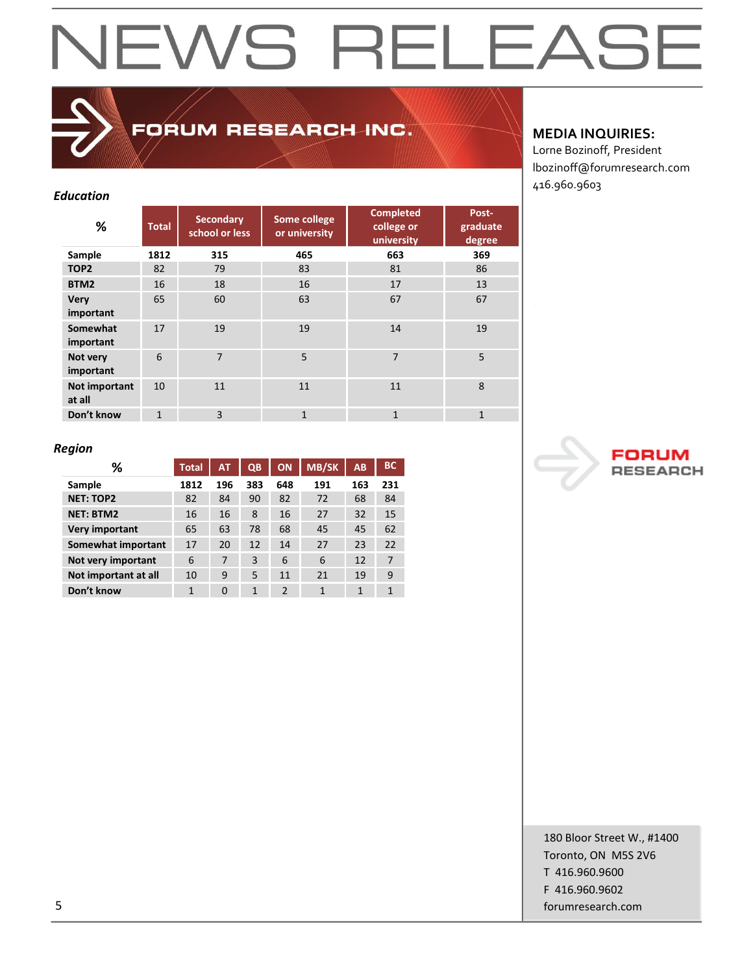### FORUM RESEARCH INC.

#### *Education*

| %                        | <b>Total</b> | <b>Secondary</b><br>school or less | Some college<br>or university | <b>Completed</b><br>college or<br>university | Post-<br>graduate<br>degree |
|--------------------------|--------------|------------------------------------|-------------------------------|----------------------------------------------|-----------------------------|
| Sample                   | 1812         | 315                                | 465                           | 663                                          | 369                         |
| TOP <sub>2</sub>         | 82           | 79                                 | 83                            | 81                                           | 86                          |
| BTM2                     | 16           | 18                                 | 16                            | 17                                           | 13                          |
| <b>Very</b><br>important | 65           | 60                                 | 63                            | 67                                           | 67                          |
| Somewhat<br>important    | 17           | 19                                 | 19                            | 14                                           | 19                          |
| Not very<br>important    | 6            | $\overline{7}$                     | 5                             | $\overline{7}$                               | 5                           |
| Not important<br>at all  | 10           | 11                                 | 11                            | 11                                           | 8                           |
| Don't know               | $\mathbf{1}$ | $\overline{3}$                     | $\mathbf{1}$                  | $\mathbf{1}$                                 | $\mathbf{1}$                |

#### **MEDIA INQUIRIES:**

Lorne Bozinoff, President lbozinoff@forumresearch.com 416.960.9603

#### *Region*

| ℅                    | <b>Total</b> | <b>AT</b> | QB  | <b>ON</b>      | <b>MB/SK</b> | AB  | <b>BC</b> |
|----------------------|--------------|-----------|-----|----------------|--------------|-----|-----------|
| Sample               | 1812         | 196       | 383 | 648            | 191          | 163 | 231       |
| <b>NET: TOP2</b>     | 82           | 84        | 90  | 82             | 72           | 68  | 84        |
| <b>NET: BTM2</b>     | 16           | 16        | 8   | 16             | 27           | 32  | 15        |
| Very important       | 65           | 63        | 78  | 68             | 45           | 45  | 62        |
| Somewhat important   | 17           | 20        | 12  | 14             | 27           | 23  | 22        |
| Not very important   | 6            | 7         | 3   | 6              | 6            | 12  | 7         |
| Not important at all | 10           | 9         | 5   | 11             | 21           | 19  | 9         |
| Don't know           | 1            | $\Omega$  | 1   | $\mathfrak{p}$ | 1            | 1   | 1         |

180 Bloor Street W., #1400 Toronto, ON M5S 2V6 T 416.960.9600 F 416.960.9602 5 forumresearch.com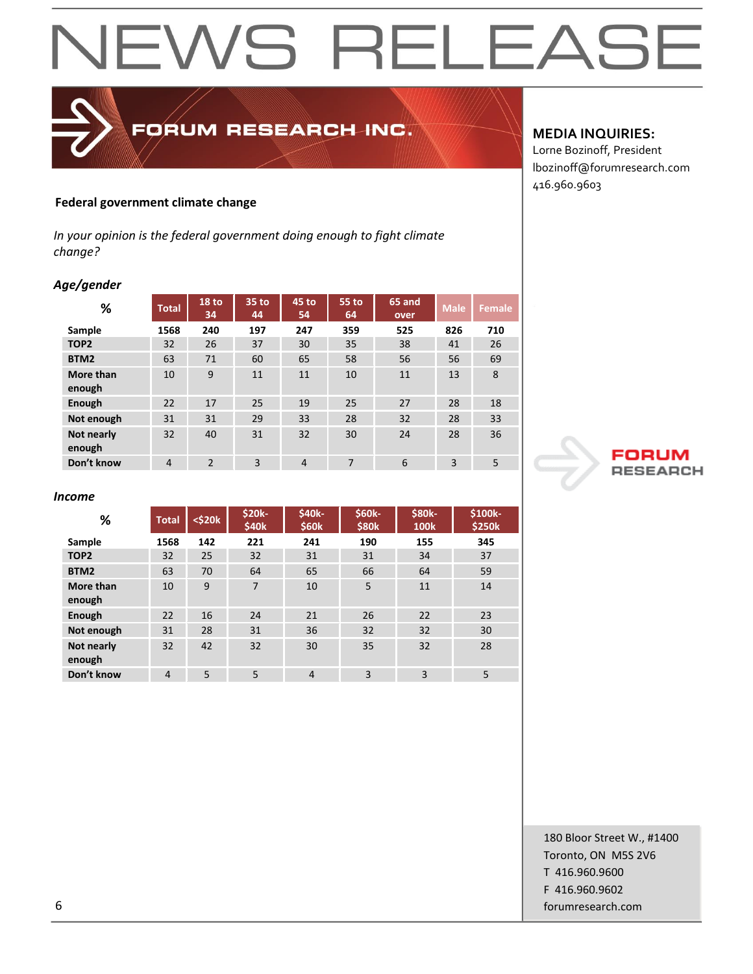### **NEWS RELEAS** j⊢

#### **Federal government climate change**

*In your opinion is the federal government doing enough to fight climate change?*

FORUM RESEARCH INC.

#### *Age/gender*

| ℅                    | <b>Total</b>   | <b>18 to</b><br>34 | 35 to<br>44 | 45 to<br>54    | 55 to<br>64 | 65 and<br>over | <b>Male</b> | Female |
|----------------------|----------------|--------------------|-------------|----------------|-------------|----------------|-------------|--------|
| Sample               | 1568           | 240                | 197         | 247            | 359         | 525            | 826         | 710    |
| TOP <sub>2</sub>     | 32             | 26                 | 37          | 30             | 35          | 38             | 41          | 26     |
| BTM2                 | 63             | 71                 | 60          | 65             | 58          | 56             | 56          | 69     |
| More than<br>enough  | 10             | 9                  | 11          | 11             | 10          | 11             | 13          | 8      |
| Enough               | 22             | 17                 | 25          | 19             | 25          | 27             | 28          | 18     |
| Not enough           | 31             | 31                 | 29          | 33             | 28          | 32             | 28          | 33     |
| Not nearly<br>enough | 32             | 40                 | 31          | 32             | 30          | 24             | 28          | 36     |
| Don't know           | $\overline{4}$ | $\overline{2}$     | 3           | $\overline{4}$ | 7           | 6              | 3           | 5      |

#### *Income*

| %                    | <b>Total</b>   | $<$ \$20 $k$ | \$20k-<br>\$40k | \$40k-<br>\$60 <sub>k</sub> | \$60k-<br>\$80 <sub>k</sub> | \$80k-<br><b>100k</b> | \$100k-<br>\$250k |
|----------------------|----------------|--------------|-----------------|-----------------------------|-----------------------------|-----------------------|-------------------|
| Sample               | 1568           | 142          | 221             | 241                         | 190                         | 155                   | 345               |
| TOP <sub>2</sub>     | 32             | 25           | 32              | 31                          | 31                          | 34                    | 37                |
| BTM2                 | 63             | 70           | 64              | 65                          | 66                          | 64                    | 59                |
| More than<br>enough  | 10             | 9            | $\overline{7}$  | 10                          | 5                           | 11                    | 14                |
| Enough               | 22             | 16           | 24              | 21                          | 26                          | 22                    | 23                |
| Not enough           | 31             | 28           | 31              | 36                          | 32                          | 32                    | 30                |
| Not nearly<br>enough | 32             | 42           | 32              | 30                          | 35                          | 32                    | 28                |
| Don't know           | $\overline{4}$ | 5            | 5               | $\overline{4}$              | 3                           | 3                     | 5                 |

#### **MEDIA INQUIRIES:**

Lorne Bozinoff, President lbozinoff@forumresearch.com 416.960.9603



180 Bloor Street W., #1400 Toronto, ON M5S 2V6 T 416.960.9600 F 416.960.9602 6 forumresearch.com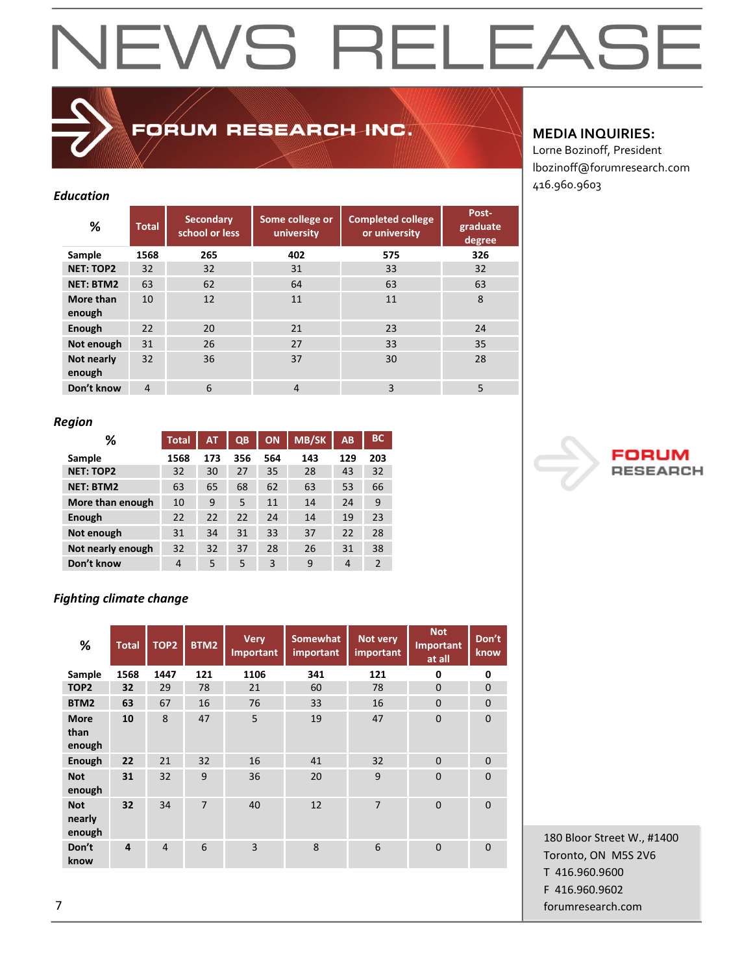### FORUM RESEARCH INC.

#### *Education*

| %                    | <b>Total</b>   | <b>Secondary</b><br>school or less | Some college or<br>university | <b>Completed college</b><br>or university | Post-<br>graduate<br>degree |
|----------------------|----------------|------------------------------------|-------------------------------|-------------------------------------------|-----------------------------|
| Sample               | 1568           | 265                                | 402                           | 575                                       | 326                         |
| <b>NET: TOP2</b>     | 32             | 32                                 | 31                            | 33                                        | 32                          |
| <b>NET: BTM2</b>     | 63             | 62                                 | 64                            | 63                                        | 63                          |
| More than<br>enough  | 10             | 12                                 | 11                            | 11                                        | 8                           |
| Enough               | 22             | 20                                 | 21                            | 23                                        | 24                          |
| Not enough           | 31             | 26                                 | 27                            | 33                                        | 35                          |
| Not nearly<br>enough | 32             | 36                                 | 37                            | 30                                        | 28                          |
| Don't know           | $\overline{4}$ | 6                                  | 4                             | 3                                         | 5                           |

#### *Region*

| ℅                 | <b>Total</b> | <b>AT</b> | QB  | <b>ON</b> | <b>MB/SK</b> | <b>AB</b>      | <b>BC</b>      |
|-------------------|--------------|-----------|-----|-----------|--------------|----------------|----------------|
| Sample            | 1568         | 173       | 356 | 564       | 143          | 129            | 203            |
| <b>NET: TOP2</b>  | 32           | 30        | 27  | 35        | 28           | 43             | 32             |
| <b>NET: BTM2</b>  | 63           | 65        | 68  | 62        | 63           | 53             | 66             |
| More than enough  | 10           | 9         | 5   | 11        | 14           | 24             | 9              |
| Enough            | 22           | 22        | 22  | 24        | 14           | 19             | 23             |
| Not enough        | 31           | 34        | 31  | 33        | 37           | 22             | 28             |
| Not nearly enough | 32           | 32        | 37  | 28        | 26           | 31             | 38             |
| Don't know        | 4            | 5         | 5   | 3         | 9            | $\overline{4}$ | $\mathfrak{p}$ |

#### *Fighting climate change*

| %                              | <b>Total</b>   | TOP <sub>2</sub> | BTM2           | <b>Very</b><br>Important | <b>Somewhat</b><br>important | Not very<br>important | <b>Not</b><br><b>Important</b><br>at all | Don't<br>know  |
|--------------------------------|----------------|------------------|----------------|--------------------------|------------------------------|-----------------------|------------------------------------------|----------------|
| Sample                         | 1568           | 1447             | 121            | 1106                     | 341                          | 121                   | 0                                        | 0              |
| TOP <sub>2</sub>               | 32             | 29               | 78             | 21                       | 60                           | 78                    | $\mathbf{0}$                             | $\mathbf{0}$   |
| BTM2                           | 63             | 67               | 16             | 76                       | 33                           | 16                    | $\mathbf{0}$                             | $\mathbf{0}$   |
| <b>More</b><br>than<br>enough  | 10             | 8                | 47             | 5                        | 19                           | 47                    | $\mathbf{0}$                             | $\overline{0}$ |
| <b>Enough</b>                  | 22             | 21               | 32             | 16                       | 41                           | 32                    | $\mathbf{0}$                             | 0              |
| <b>Not</b><br>enough           | 31             | 32               | 9              | 36                       | 20                           | 9                     | $\mathbf{0}$                             | $\Omega$       |
| <b>Not</b><br>nearly<br>enough | 32             | 34               | $\overline{7}$ | 40                       | 12                           | $\overline{7}$        | $\Omega$                                 | $\mathbf{0}$   |
| Don't<br>know                  | $\overline{4}$ | $\overline{4}$   | 6              | $\overline{3}$           | 8                            | 6                     | $\mathbf{0}$                             | $\mathbf{0}$   |

**MEDIA INQUIRIES:**

Lorne Bozinoff, President lbozinoff@forumresearch.com 416.960.9603



180 Bloor Street W., #1400 Toronto, ON M5S 2V6 T 416.960.9600 F 416.960.9602 7 forumresearch.com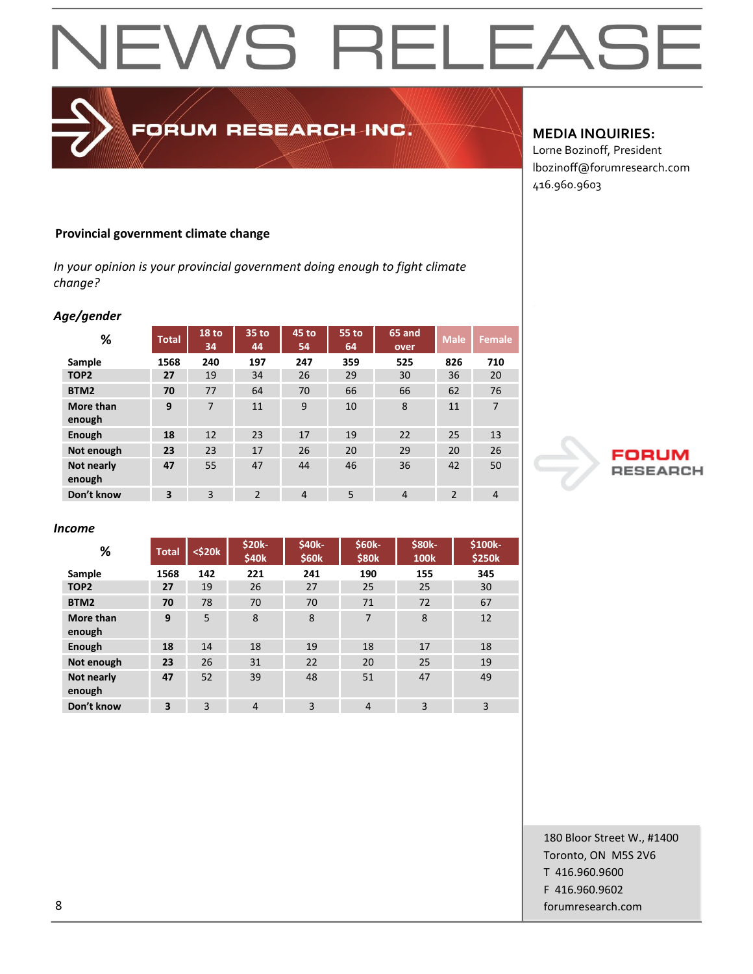#### **Provincial government climate change**

*In your opinion is your provincial government doing enough to fight climate change?*

FORUM RESEARCH INC.

#### *Age/gender*

| %                    | <b>Total</b> | 18 to<br>34 | 35 to<br>44    | 45 to<br>54    | 55 to<br>64 | 65 and<br>over | <b>Male</b>    | <b>Female</b>  |
|----------------------|--------------|-------------|----------------|----------------|-------------|----------------|----------------|----------------|
| Sample               | 1568         | 240         | 197            | 247            | 359         | 525            | 826            | 710            |
| TOP <sub>2</sub>     | 27           | 19          | 34             | 26             | 29          | 30             | 36             | 20             |
| BTM <sub>2</sub>     | 70           | 77          | 64             | 70             | 66          | 66             | 62             | 76             |
| More than<br>enough  | 9            | 7           | 11             | 9              | 10          | 8              | 11             | $\overline{7}$ |
| Enough               | 18           | 12          | 23             | 17             | 19          | 22             | 25             | 13             |
| Not enough           | 23           | 23          | 17             | 26             | 20          | 29             | 20             | 26             |
| Not nearly<br>enough | 47           | 55          | 47             | 44             | 46          | 36             | 42             | 50             |
| Don't know           | 3            | 3           | $\mathfrak{p}$ | $\overline{4}$ | 5           | $\overline{4}$ | $\overline{2}$ | $\overline{4}$ |

#### *Income*

| %                    | <b>Total</b> | $<$ \$20 $k$ | \$20k-<br>\$40 <sub>k</sub> | <b>\$40k-</b><br>\$60k | \$60k-<br>\$80 <sub>k</sub> | \$80k-<br><b>100k</b> | \$100k-<br>\$250k |
|----------------------|--------------|--------------|-----------------------------|------------------------|-----------------------------|-----------------------|-------------------|
| Sample               | 1568         | 142          | 221                         | 241                    | 190                         | 155                   | 345               |
| TOP <sub>2</sub>     | 27           | 19           | 26                          | 27                     | 25                          | 25                    | 30                |
| BTM2                 | 70           | 78           | 70                          | 70                     | 71                          | 72                    | 67                |
| More than<br>enough  | 9            | 5            | 8                           | 8                      | 7                           | 8                     | 12                |
| Enough               | 18           | 14           | 18                          | 19                     | 18                          | 17                    | 18                |
| Not enough           | 23           | 26           | 31                          | 22                     | 20                          | 25                    | 19                |
| Not nearly<br>enough | 47           | 52           | 39                          | 48                     | 51                          | 47                    | 49                |
| Don't know           | 3            | 3            | $\overline{4}$              | 3                      | $\overline{4}$              | 3                     | 3                 |

#### **MEDIA INQUIRIES:**

Lorne Bozinoff, President lbozinoff@forumresearch.com 416.960.9603



180 Bloor Street W., #1400 Toronto, ON M5S 2V6 T 416.960.9600 F 416.960.9602 8 forumresearch.com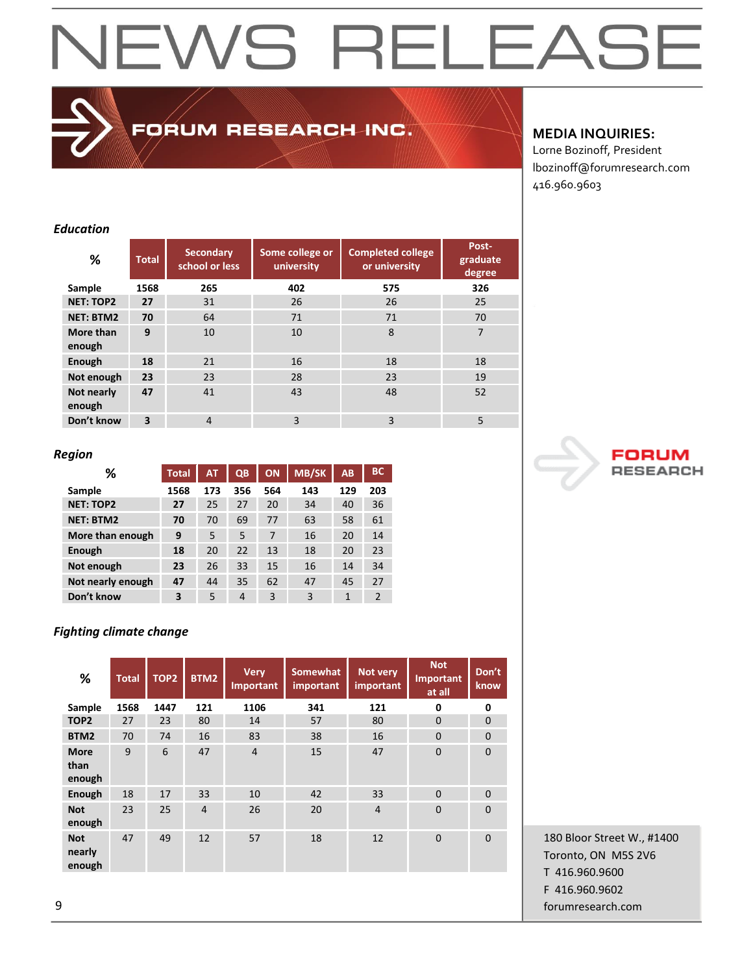FORUM RESEARCH INC.

#### **MEDIA INQUIRIES:**

Lorne Bozinoff, President lbozinoff@forumresearch.com 416.960.9603

#### *Education*

| %                    | <b>Total</b>            | <b>Secondary</b><br>school or less | Some college or<br>university | <b>Completed college</b><br>or university | Post-<br>graduate<br>degree |
|----------------------|-------------------------|------------------------------------|-------------------------------|-------------------------------------------|-----------------------------|
| Sample               | 1568                    | 265                                | 402                           | 575                                       | 326                         |
| <b>NET: TOP2</b>     | 27                      | 31                                 | 26                            | 26                                        | 25                          |
| <b>NET: BTM2</b>     | 70                      | 64                                 | 71                            | 71                                        | 70                          |
| More than<br>enough  | 9                       | 10                                 | 10                            | 8                                         | 7                           |
| Enough               | 18                      | 21                                 | 16                            | 18                                        | 18                          |
| Not enough           | 23                      | 23                                 | 28                            | 23                                        | 19                          |
| Not nearly<br>enough | 47                      | 41                                 | 43                            | 48                                        | 52                          |
| Don't know           | $\overline{\mathbf{3}}$ | $\overline{4}$                     | 3                             | 3                                         | 5                           |

#### *Region*

| ℅                 | <b>Total</b> | <b>AT</b> | QB  | <b>ON</b> | <b>MB/SK</b> | AB  | <b>BC</b>      |
|-------------------|--------------|-----------|-----|-----------|--------------|-----|----------------|
| Sample            | 1568         | 173       | 356 | 564       | 143          | 129 | 203            |
| <b>NET: TOP2</b>  | 27           | 25        | 27  | 20        | 34           | 40  | 36             |
| <b>NET: BTM2</b>  | 70           | 70        | 69  | 77        | 63           | 58  | 61             |
| More than enough  | 9            | 5         | 5   | 7         | 16           | 20  | 14             |
| Enough            | 18           | 20        | 22  | 13        | 18           | 20  | 23             |
| Not enough        | 23           | 26        | 33  | 15        | 16           | 14  | 34             |
| Not nearly enough | 47           | 44        | 35  | 62        | 47           | 45  | 27             |
| Don't know        | 3            | 5         | 4   | 3         | 3            | 1   | $\mathfrak{p}$ |

#### *Fighting climate change*

| %                              | <b>Total</b> | TOP <sub>2</sub> | BTM2           | <b>Very</b><br><b>Important</b> | <b>Somewhat</b><br>important | Not very<br>important | <b>Not</b><br>Important<br>at all | Don't<br>know |
|--------------------------------|--------------|------------------|----------------|---------------------------------|------------------------------|-----------------------|-----------------------------------|---------------|
| Sample                         | 1568         | 1447             | 121            | 1106                            | 341                          | 121                   | $\mathbf 0$                       | 0             |
| TOP <sub>2</sub>               | 27           | 23               | 80             | 14                              | 57                           | 80                    | $\Omega$                          | $\mathbf{0}$  |
| BTM2                           | 70           | 74               | 16             | 83                              | 38                           | 16                    | $\Omega$                          | $\Omega$      |
| <b>More</b><br>than<br>enough  | 9            | 6                | 47             | $\overline{4}$                  | 15                           | 47                    | $\overline{0}$                    | $\mathbf{0}$  |
| Enough                         | 18           | 17               | 33             | 10                              | 42                           | 33                    | $\Omega$                          | $\mathbf{0}$  |
| <b>Not</b><br>enough           | 23           | 25               | $\overline{4}$ | 26                              | 20                           | $\overline{4}$        | $\overline{0}$                    | $\Omega$      |
| <b>Not</b><br>nearly<br>enough | 47           | 49               | 12             | 57                              | 18                           | 12                    | $\Omega$                          | $\Omega$      |

180 Bloor Street W., #1400 Toronto, ON M5S 2V6 T 416.960.9600 F 416.960.9602 9 forumresearch.com